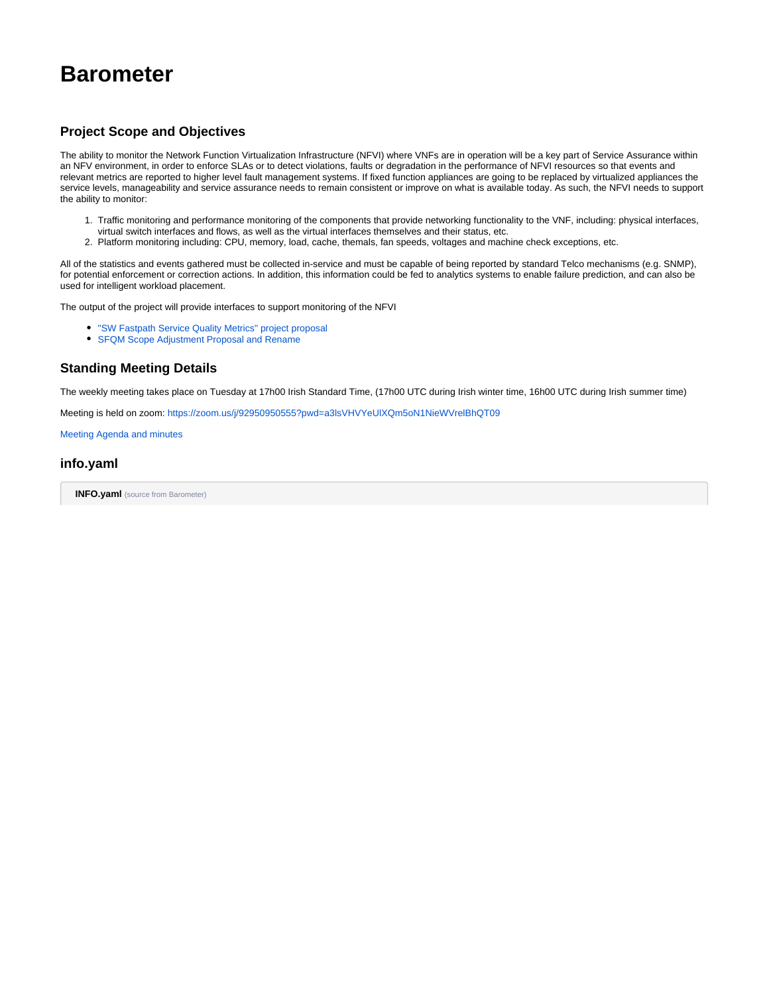# **Barometer**

# **Project Scope and Objectives**

The ability to monitor the Network Function Virtualization Infrastructure (NFVI) where VNFs are in operation will be a key part of Service Assurance within an NFV environment, in order to enforce SLAs or to detect violations, faults or degradation in the performance of NFVI resources so that events and relevant metrics are reported to higher level fault management systems. If fixed function appliances are going to be replaced by virtualized appliances the service levels, manageability and service assurance needs to remain consistent or improve on what is available today. As such, the NFVI needs to support the ability to monitor:

- 1. Traffic monitoring and performance monitoring of the components that provide networking functionality to the VNF, including: physical interfaces, virtual switch interfaces and flows, as well as the virtual interfaces themselves and their status, etc.
- 2. Platform monitoring including: CPU, memory, load, cache, themals, fan speeds, voltages and machine check exceptions, etc.

All of the statistics and events gathered must be collected in-service and must be capable of being reported by standard Telco mechanisms (e.g. SNMP), for potential enforcement or correction actions. In addition, this information could be fed to analytics systems to enable failure prediction, and can also be used for intelligent workload placement.

The output of the project will provide interfaces to support monitoring of the NFVI

- ["SW Fastpath Service Quality Metrics" project proposal](https://wiki.opnfv.org/display/PROJ/Opnfv+Telco+Kpis)
- [SFQM Scope Adjustment Proposal and Rename](https://wiki.opnfv.org/display/fastpath/SFQM+Scope+Adjustment+Proposal+and+Rename)

#### **Standing Meeting Details**

The weekly meeting takes place on Tuesday at 17h00 Irish Standard Time, (17h00 UTC during Irish winter time, 16h00 UTC during Irish summer time)

Meeting is held on zoom:<https://zoom.us/j/92950950555?pwd=a3lsVHVYeUlXQm5oN1NieWVrelBhQT09>

[Meeting Agenda and minutes](https://wiki.anuket.io/display/HOME/Meetings)

## **info.yaml**

**INFO.yaml** (source from Barometer)